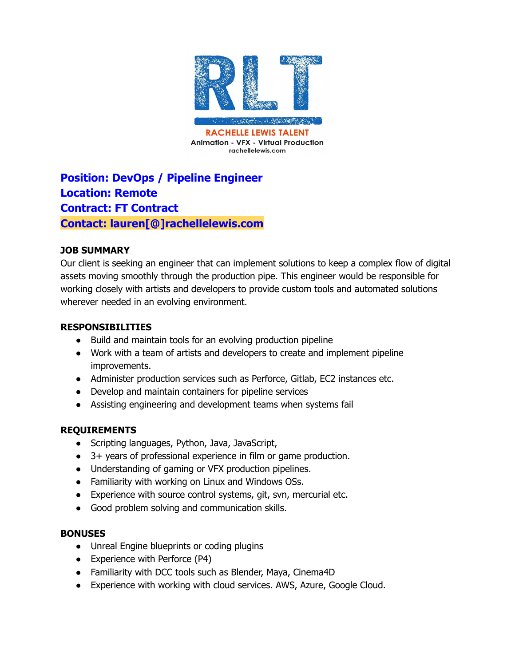

# **Position: DevOps / Pipeline Engineer Location: Remote Contract: FT Contract Contact: lauren[@]rachellelewis.com**

## **JOB SUMMARY**

Our client is seeking an engineer that can implement solutions to keep a complex flow of digital assets moving smoothly through the production pipe. This engineer would be responsible for working closely with artists and developers to provide custom tools and automated solutions wherever needed in an evolving environment.

#### **RESPONSIBILITIES**

- Build and maintain tools for an evolving production pipeline
- Work with a team of artists and developers to create and implement pipeline improvements.
- Administer production services such as Perforce, Gitlab, EC2 instances etc.
- Develop and maintain containers for pipeline services
- Assisting engineering and development teams when systems fail

### **REQUIREMENTS**

- Scripting languages, Python, Java, JavaScript,
- 3+ years of professional experience in film or game production.
- Understanding of gaming or VFX production pipelines.
- Familiarity with working on Linux and Windows OSs.
- Experience with source control systems, git, svn, mercurial etc.
- Good problem solving and communication skills.

### **BONUSES**

- Unreal Engine blueprints or coding plugins
- Experience with Perforce (P4)
- Familiarity with DCC tools such as Blender, Maya, Cinema4D
- Experience with working with cloud services. AWS, Azure, Google Cloud.